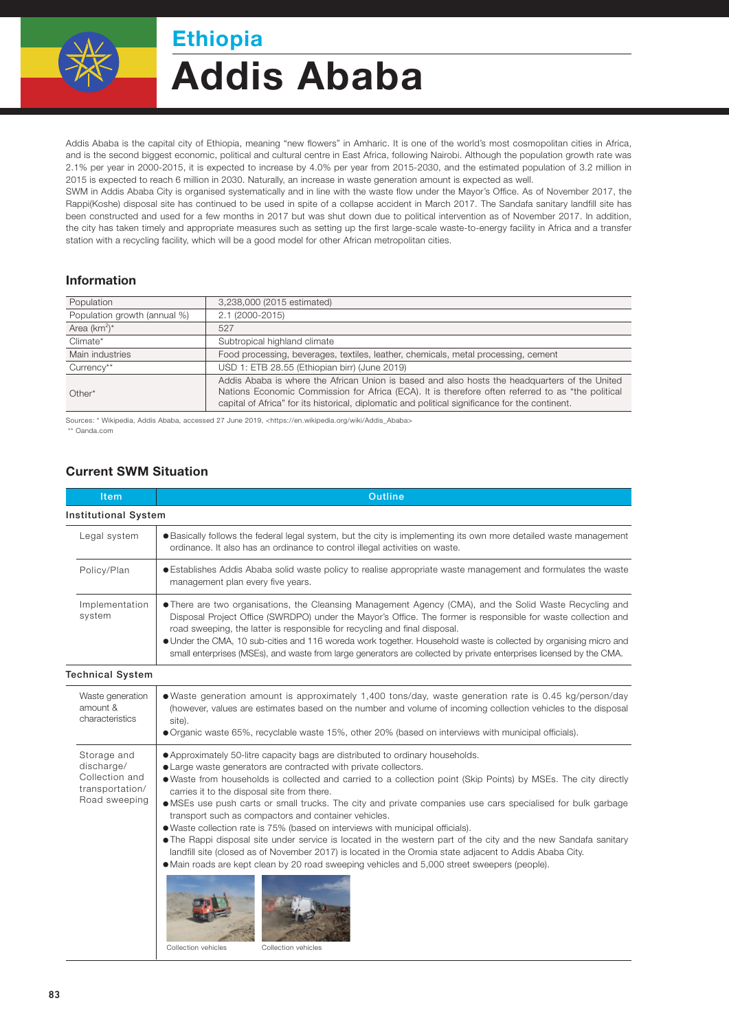

# Addis Ababa Ethiopia

Addis Ababa is the capital city of Ethiopia, meaning "new flowers" in Amharic. It is one of the world's most cosmopolitan cities in Africa, and is the second biggest economic, political and cultural centre in East Africa, following Nairobi. Although the population growth rate was 2.1% per year in 2000-2015, it is expected to increase by 4.0% per year from 2015-2030, and the estimated population of 3.2 million in 2015 is expected to reach 6 million in 2030. Naturally, an increase in waste generation amount is expected as well.

SWM in Addis Ababa City is organised systematically and in line with the waste flow under the Mayor's Office. As of November 2017, the Rappi(Koshe) disposal site has continued to be used in spite of a collapse accident in March 2017. The Sandafa sanitary landfill site has been constructed and used for a few months in 2017 but was shut down due to political intervention as of November 2017. In addition, the city has taken timely and appropriate measures such as setting up the first large-scale waste-to-energy facility in Africa and a transfer station with a recycling facility, which will be a good model for other African metropolitan cities.

### Information

| Population                   | 3,238,000 (2015 estimated)                                                                                                                                                                           |  |
|------------------------------|------------------------------------------------------------------------------------------------------------------------------------------------------------------------------------------------------|--|
| Population growth (annual %) | 2.1 (2000-2015)                                                                                                                                                                                      |  |
| Area $(km^2)^*$              | 527                                                                                                                                                                                                  |  |
| Climate*                     | Subtropical highland climate                                                                                                                                                                         |  |
| Main industries              | Food processing, beverages, textiles, leather, chemicals, metal processing, cement                                                                                                                   |  |
| Currency**                   | USD 1: ETB 28.55 (Ethiopian birr) (June 2019)                                                                                                                                                        |  |
|                              | Addis Ababa is where the African Union is based and also hosts the headquarters of the United                                                                                                        |  |
| $Other*$                     | Nations Economic Commission for Africa (ECA). It is therefore often referred to as "the political<br>capital of Africa" for its historical, diplomatic and political significance for the continent. |  |

Sources: \* Wikipedia, Addis Ababa, accessed 27 June 2019, <https://en.wikipedia.org/wiki/Addis\_Ababa> \*\* Oanda.com

#### Current SWM Situation

| Item                                                                            | <b>Outline</b>                                                                                                                                                                                                                                                                                                                                                                                                                                                                                                                                                                                                                                                                                                                                                                                                                                                                                                                                            |  |  |
|---------------------------------------------------------------------------------|-----------------------------------------------------------------------------------------------------------------------------------------------------------------------------------------------------------------------------------------------------------------------------------------------------------------------------------------------------------------------------------------------------------------------------------------------------------------------------------------------------------------------------------------------------------------------------------------------------------------------------------------------------------------------------------------------------------------------------------------------------------------------------------------------------------------------------------------------------------------------------------------------------------------------------------------------------------|--|--|
| <b>Institutional System</b>                                                     |                                                                                                                                                                                                                                                                                                                                                                                                                                                                                                                                                                                                                                                                                                                                                                                                                                                                                                                                                           |  |  |
| Legal system                                                                    | · Basically follows the federal legal system, but the city is implementing its own more detailed waste management<br>ordinance. It also has an ordinance to control illegal activities on waste.                                                                                                                                                                                                                                                                                                                                                                                                                                                                                                                                                                                                                                                                                                                                                          |  |  |
| Policy/Plan                                                                     | • Establishes Addis Ababa solid waste policy to realise appropriate waste management and formulates the waste<br>management plan every five years.                                                                                                                                                                                                                                                                                                                                                                                                                                                                                                                                                                                                                                                                                                                                                                                                        |  |  |
| Implementation<br>system                                                        | • There are two organisations, the Cleansing Management Agency (CMA), and the Solid Waste Recycling and<br>Disposal Project Office (SWRDPO) under the Mayor's Office. The former is responsible for waste collection and<br>road sweeping, the latter is responsible for recycling and final disposal.<br>• Under the CMA, 10 sub-cities and 116 woreda work together. Household waste is collected by organising micro and<br>small enterprises (MSEs), and waste from large generators are collected by private enterprises licensed by the CMA.                                                                                                                                                                                                                                                                                                                                                                                                        |  |  |
| <b>Technical System</b>                                                         |                                                                                                                                                                                                                                                                                                                                                                                                                                                                                                                                                                                                                                                                                                                                                                                                                                                                                                                                                           |  |  |
| Waste generation<br>amount &<br>characteristics                                 | • Waste generation amount is approximately 1,400 tons/day, waste generation rate is 0.45 kg/person/day<br>(however, values are estimates based on the number and volume of incoming collection vehicles to the disposal<br>site).<br>• Organic waste 65%, recyclable waste 15%, other 20% (based on interviews with municipal officials).                                                                                                                                                                                                                                                                                                                                                                                                                                                                                                                                                                                                                 |  |  |
| Storage and<br>discharge/<br>Collection and<br>transportation/<br>Road sweeping | • Approximately 50-litre capacity bags are distributed to ordinary households.<br>• Large waste generators are contracted with private collectors.<br>• Waste from households is collected and carried to a collection point (Skip Points) by MSEs. The city directly<br>carries it to the disposal site from there.<br>· MSEs use push carts or small trucks. The city and private companies use cars specialised for bulk garbage<br>transport such as compactors and container vehicles.<br>. Waste collection rate is 75% (based on interviews with municipal officials).<br>• The Rappi disposal site under service is located in the western part of the city and the new Sandafa sanitary<br>landfill site (closed as of November 2017) is located in the Oromia state adjacent to Addis Ababa City.<br>• Main roads are kept clean by 20 road sweeping vehicles and 5,000 street sweepers (people).<br>Collection vehicles<br>Collection vehicles |  |  |